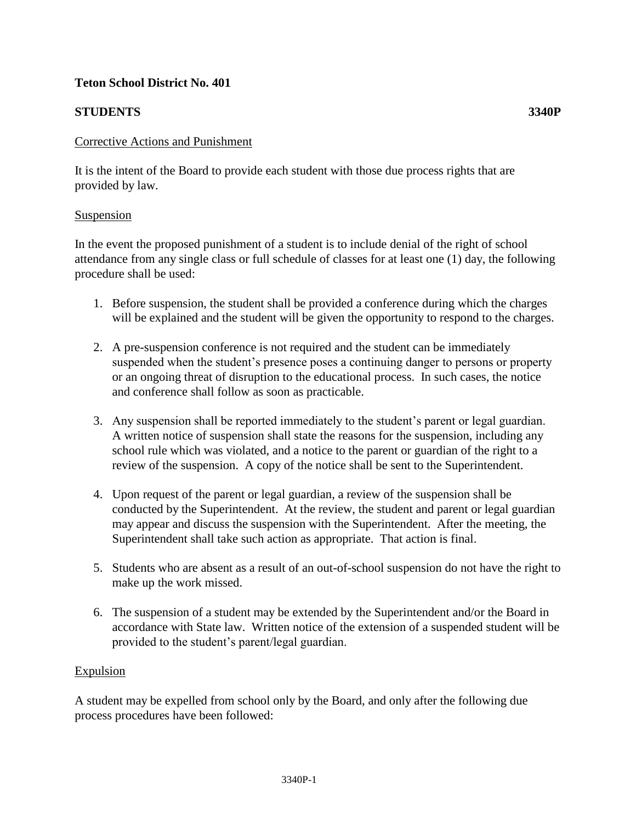## **Teton School District No. 401**

# **STUDENTS 3340P**

### Corrective Actions and Punishment

It is the intent of the Board to provide each student with those due process rights that are provided by law.

#### Suspension

In the event the proposed punishment of a student is to include denial of the right of school attendance from any single class or full schedule of classes for at least one (1) day, the following procedure shall be used:

- 1. Before suspension, the student shall be provided a conference during which the charges will be explained and the student will be given the opportunity to respond to the charges.
- 2. A pre-suspension conference is not required and the student can be immediately suspended when the student's presence poses a continuing danger to persons or property or an ongoing threat of disruption to the educational process. In such cases, the notice and conference shall follow as soon as practicable.
- 3. Any suspension shall be reported immediately to the student's parent or legal guardian. A written notice of suspension shall state the reasons for the suspension, including any school rule which was violated, and a notice to the parent or guardian of the right to a review of the suspension. A copy of the notice shall be sent to the Superintendent.
- 4. Upon request of the parent or legal guardian, a review of the suspension shall be conducted by the Superintendent. At the review, the student and parent or legal guardian may appear and discuss the suspension with the Superintendent. After the meeting, the Superintendent shall take such action as appropriate. That action is final.
- 5. Students who are absent as a result of an out-of-school suspension do not have the right to make up the work missed.
- 6. The suspension of a student may be extended by the Superintendent and/or the Board in accordance with State law. Written notice of the extension of a suspended student will be provided to the student's parent/legal guardian.

## Expulsion

A student may be expelled from school only by the Board, and only after the following due process procedures have been followed: